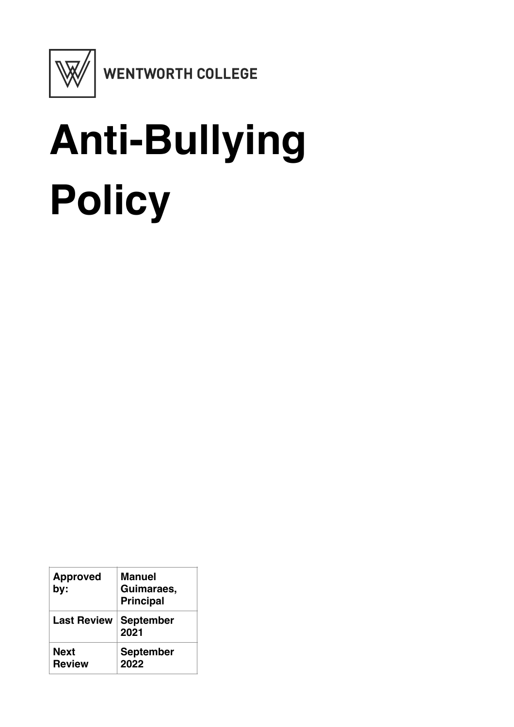

WENTWORTH COLLEGE

# **Anti-Bullying Policy**

| <b>Approved</b><br>by: | Manuel<br>Guimaraes,<br><b>Principal</b> |
|------------------------|------------------------------------------|
| <b>Last Review</b>     | <b>September</b><br>2021                 |
| Next<br><b>Review</b>  | <b>September</b><br>2022                 |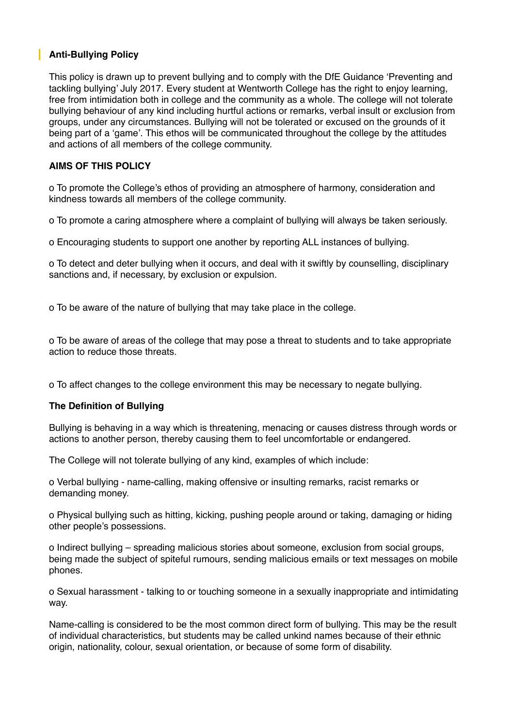## **Anti-Bullying Policy**

This policy is drawn up to prevent bullying and to comply with the DfE Guidance 'Preventing and tackling bullying' July 2017. Every student at Wentworth College has the right to enjoy learning, free from intimidation both in college and the community as a whole. The college will not tolerate bullying behaviour of any kind including hurtful actions or remarks, verbal insult or exclusion from groups, under any circumstances. Bullying will not be tolerated or excused on the grounds of it being part of a 'game'. This ethos will be communicated throughout the college by the attitudes and actions of all members of the college community.

#### **AIMS OF THIS POLICY**

o To promote the College's ethos of providing an atmosphere of harmony, consideration and kindness towards all members of the college community.

o To promote a caring atmosphere where a complaint of bullying will always be taken seriously.

o Encouraging students to support one another by reporting ALL instances of bullying.

o To detect and deter bullying when it occurs, and deal with it swiftly by counselling, disciplinary sanctions and, if necessary, by exclusion or expulsion.

o To be aware of the nature of bullying that may take place in the college.

o To be aware of areas of the college that may pose a threat to students and to take appropriate action to reduce those threats.

o To affect changes to the college environment this may be necessary to negate bullying.

#### **The Definition of Bullying**

Bullying is behaving in a way which is threatening, menacing or causes distress through words or actions to another person, thereby causing them to feel uncomfortable or endangered.

The College will not tolerate bullying of any kind, examples of which include:

o Verbal bullying - name-calling, making offensive or insulting remarks, racist remarks or demanding money.

o Physical bullying such as hitting, kicking, pushing people around or taking, damaging or hiding other people's possessions.

o Indirect bullying – spreading malicious stories about someone, exclusion from social groups, being made the subject of spiteful rumours, sending malicious emails or text messages on mobile phones.

o Sexual harassment - talking to or touching someone in a sexually inappropriate and intimidating way.

Name-calling is considered to be the most common direct form of bullying. This may be the result of individual characteristics, but students may be called unkind names because of their ethnic origin, nationality, colour, sexual orientation, or because of some form of disability.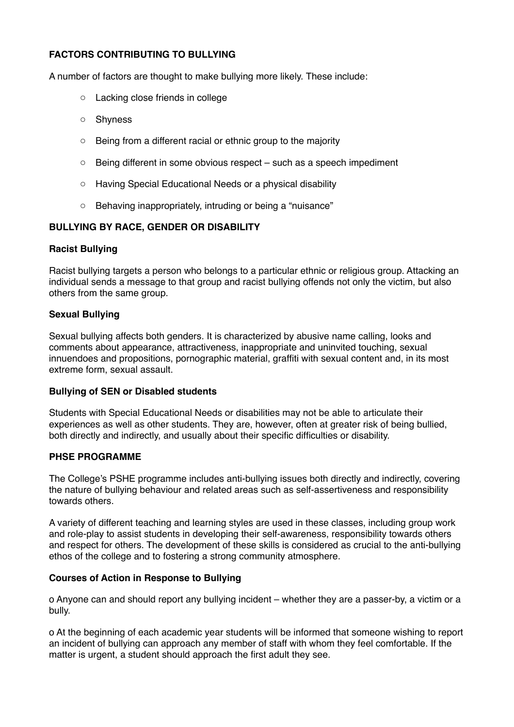### **FACTORS CONTRIBUTING TO BULLYING**

A number of factors are thought to make bullying more likely. These include:

- o Lacking close friends in college
- o Shyness
- o Being from a different racial or ethnic group to the majority
- $\circ$  Being different in some obvious respect such as a speech impediment
- o Having Special Educational Needs or a physical disability
- o Behaving inappropriately, intruding or being a "nuisance"

#### **BULLYING BY RACE, GENDER OR DISABILITY**

#### **Racist Bullying**

Racist bullying targets a person who belongs to a particular ethnic or religious group. Attacking an individual sends a message to that group and racist bullying offends not only the victim, but also others from the same group.

#### **Sexual Bullying**

Sexual bullying affects both genders. It is characterized by abusive name calling, looks and comments about appearance, attractiveness, inappropriate and uninvited touching, sexual innuendoes and propositions, pornographic material, graffiti with sexual content and, in its most extreme form, sexual assault.

#### **Bullying of SEN or Disabled students**

Students with Special Educational Needs or disabilities may not be able to articulate their experiences as well as other students. They are, however, often at greater risk of being bullied, both directly and indirectly, and usually about their specific difficulties or disability.

#### **PHSE PROGRAMME**

The College's PSHE programme includes anti-bullying issues both directly and indirectly, covering the nature of bullying behaviour and related areas such as self-assertiveness and responsibility towards others.

A variety of different teaching and learning styles are used in these classes, including group work and role-play to assist students in developing their self-awareness, responsibility towards others and respect for others. The development of these skills is considered as crucial to the anti-bullying ethos of the college and to fostering a strong community atmosphere.

#### **Courses of Action in Response to Bullying**

o Anyone can and should report any bullying incident – whether they are a passer-by, a victim or a bully.

o At the beginning of each academic year students will be informed that someone wishing to report an incident of bullying can approach any member of staff with whom they feel comfortable. If the matter is urgent, a student should approach the first adult they see.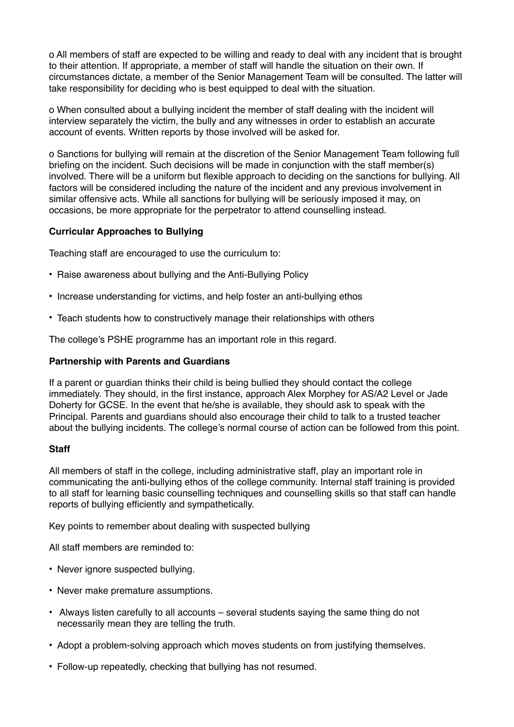o All members of staff are expected to be willing and ready to deal with any incident that is brought to their attention. If appropriate, a member of staff will handle the situation on their own. If circumstances dictate, a member of the Senior Management Team will be consulted. The latter will take responsibility for deciding who is best equipped to deal with the situation.

o When consulted about a bullying incident the member of staff dealing with the incident will interview separately the victim, the bully and any witnesses in order to establish an accurate account of events. Written reports by those involved will be asked for.

o Sanctions for bullying will remain at the discretion of the Senior Management Team following full briefing on the incident. Such decisions will be made in conjunction with the staff member(s) involved. There will be a uniform but flexible approach to deciding on the sanctions for bullying. All factors will be considered including the nature of the incident and any previous involvement in similar offensive acts. While all sanctions for bullying will be seriously imposed it may, on occasions, be more appropriate for the perpetrator to attend counselling instead.

#### **Curricular Approaches to Bullying**

Teaching staff are encouraged to use the curriculum to:

- Raise awareness about bullying and the Anti-Bullying Policy
- Increase understanding for victims, and help foster an anti-bullying ethos
- Teach students how to constructively manage their relationships with others

The college's PSHE programme has an important role in this regard.

#### **Partnership with Parents and Guardians**

If a parent or guardian thinks their child is being bullied they should contact the college immediately. They should, in the first instance, approach Alex Morphey for AS/A2 Level or Jade Doherty for GCSE. In the event that he/she is available, they should ask to speak with the Principal. Parents and guardians should also encourage their child to talk to a trusted teacher about the bullying incidents. The college's normal course of action can be followed from this point.

#### **Staff**

All members of staff in the college, including administrative staff, play an important role in communicating the anti-bullying ethos of the college community. Internal staff training is provided to all staff for learning basic counselling techniques and counselling skills so that staff can handle reports of bullying efficiently and sympathetically.

Key points to remember about dealing with suspected bullying

All staff members are reminded to:

- Never ignore suspected bullying.
- Never make premature assumptions.
- Always listen carefully to all accounts several students saying the same thing do not necessarily mean they are telling the truth.
- Adopt a problem-solving approach which moves students on from justifying themselves.
- Follow-up repeatedly, checking that bullying has not resumed.